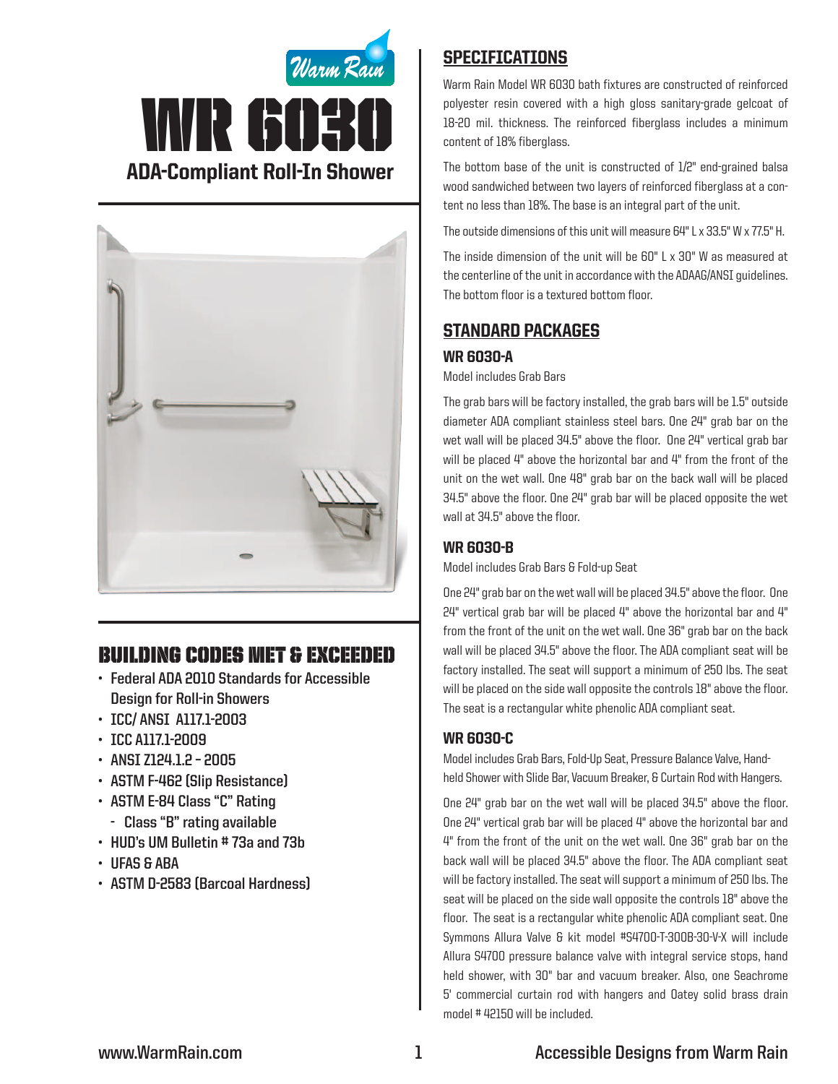



# Building Codes Met & EXCEEDED

- **• Federal ADA 2010 Standards for Accessible Design for Roll-in Showers**
- **• ICC/ ANSI A117.1-2003**
- **• ICC A117.1-2009**
- **• ANSI Z124.1.2 – 2005**
- **• ASTM F-462 (Slip Resistance)**
- **• ASTM E-84 Class "C" Rating**
	- **Class "B" rating available**
- **• HUD's UM Bulletin # 73a and 73b**
- **• UFAS & ABA**
- **• ASTM D-2583 (Barcoal Hardness)**

### **SPECIFICATIONS**

Warm Rain Model WR 6030 bath fixtures are constructed of reinforced polyester resin covered with a high gloss sanitary-grade gelcoat of 18-20 mil. thickness. The reinforced fiberglass includes a minimum content of 18% fiberglass.

The bottom base of the unit is constructed of 1/2" end-grained balsa wood sandwiched between two layers of reinforced fiberglass at a content no less than 18%. The base is an integral part of the unit.

The outside dimensions of this unit will measure 64" L x 33.5" W x 77.5" H.

The inside dimension of the unit will be 60" L x 30" W as measured at the centerline of the unit in accordance with the ADAAG/ANSI guidelines. The bottom floor is a textured bottom floor.

## Standard packages

#### WR 6030-A

Model includes Grab Bars

The grab bars will be factory installed, the grab bars will be 1.5" outside diameter ADA compliant stainless steel bars. One 24" grab bar on the wet wall will be placed 34.5" above the floor. One 24" vertical grab bar will be placed 4" above the horizontal bar and 4" from the front of the unit on the wet wall. One 48" grab bar on the back wall will be placed 34.5" above the floor. One 24" grab bar will be placed opposite the wet wall at 34.5" above the floor.

#### WR 6030-B

Model includes Grab Bars & Fold-up Seat

One 24" grab bar on the wet wall will be placed 34.5" above the floor. One  $24$ " vertical grab bar will be placed  $4$ " above the horizontal bar and  $4$ " from the front of the unit on the wet wall. One 36" grab bar on the back wall will be placed 34.5" above the floor. The ADA compliant seat will be factory installed. The seat will support a minimum of 250 lbs. The seat will be placed on the side wall opposite the controls 18" above the floor. The seat is a rectangular white phenolic ADA compliant seat.

#### WR 6030-C

Model includes Grab Bars, Fold-Up Seat, Pressure Balance Valve, Handheld Shower with Slide Bar, Vacuum Breaker, & Curtain Rod with Hangers.

One 24" grab bar on the wet wall will be placed 34.5" above the floor. One 24" vertical grab bar will be placed 4" above the horizontal bar and 4" from the front of the unit on the wet wall. One 36" grab bar on the back wall will be placed 34.5" above the floor. The ADA compliant seat will be factory installed. The seat will support a minimum of 250 lbs. The seat will be placed on the side wall opposite the controls 18" above the floor. The seat is a rectangular white phenolic ADA compliant seat. One Symmons Allura Valve & kit model #S4700-T-300B-30-V-X will include Allura S4700 pressure balance valve with integral service stops, hand held shower, with 30" bar and vacuum breaker. Also, one Seachrome 5' commercial curtain rod with hangers and Oatey solid brass drain model # 42150 will be included.

### **www.WarmRain.com 1 Accessible Designs from Warm Rain**